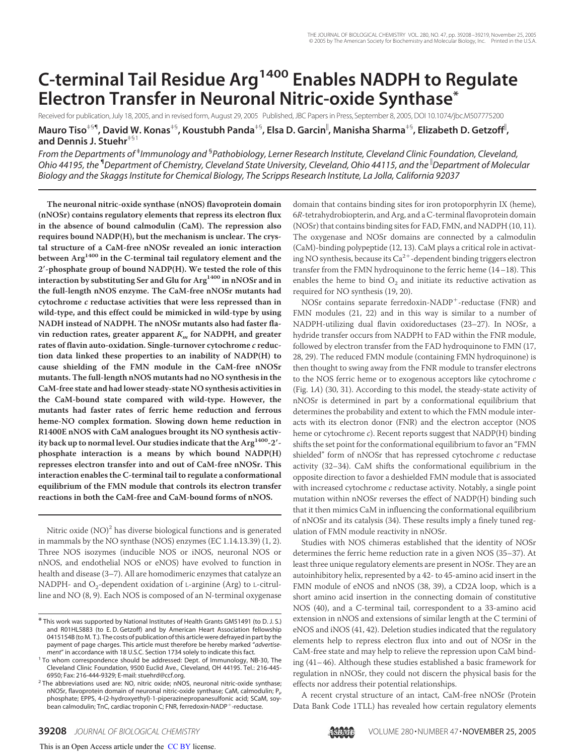# **C-terminal Tail Residue Arg<sup>1400</sup> Enables NADPH to Regulate Electron Transfer in Neuronal Nitric-oxide Synthase\***

Received for publication, July 18, 2005, and in revised form, August 29, 2005 Published, JBC Papers in Press, September 8, 2005, DOI 10.1074/jbc.M507775200 **Mauro Tiso**द**, David W. Konas**‡§**, Koustubh Panda**‡§**, Elsa D. Garcin , Manisha Sharma**‡§**, Elizabeth D. Getzoff , and Dennis J. Stuehr**‡§1

*From the Departments of* ‡ *Immunology and* § *Pathobiology, Lerner Research Institute, Cleveland Clinic Foundation, Cleveland, Ohio 44195, the* ¶*Department of Chemistry, Cleveland State University, Cleveland, Ohio 44115, and the Department of Molecular Biology and the Skaggs Institute for Chemical Biology, The Scripps Research Institute, La Jolla, California 92037*

**The neuronal nitric-oxide synthase (nNOS) flavoprotein domain (nNOSr) contains regulatory elements that repress its electron flux in the absence of bound calmodulin (CaM). The repression also requires bound NADP(H), but the mechanism is unclear. The crystal structure of a CaM-free nNOSr revealed an ionic interaction between Arg<sup>1400</sup> in the C-terminal tail regulatory element and the 2-phosphate group of bound NADP(H). We tested the role of this interaction by substituting Ser and Glu for Arg<sup>1400</sup> in nNOSr and in the full-length nNOS enzyme. The CaM-free nNOSr mutants had cytochrome c reductase activities that were less repressed than in wild-type, and this effect could be mimicked in wild-type by using NADH instead of NADPH. The nNOSr mutants also had faster flavin reduction rates, greater apparent**  $K<sub>m</sub>$  for NADPH, and greater **rates of flavin auto-oxidation. Single-turnover cytochrome c reduction data linked these properties to an inability of NADP(H) to cause shielding of the FMN module in the CaM-free nNOSr mutants. The full-length nNOS mutants had no NO synthesis in the CaM-free state and had lower steady-state NO synthesis activities in the CaM-bound state compared with wild-type. However, the mutants had faster rates of ferric heme reduction and ferrous heme-NO complex formation. Slowing down heme reduction in R1400E nNOS with CaM analogues brought its NO synthesis activity back up to normal level. Our studies indicate that the Arg1400-2 phosphate interaction is a means by which bound NADP(H) represses electron transfer into and out of CaM-free nNOSr. This interaction enables the C-terminal tail to regulate a conformational equilibrium of the FMN module that controls its electron transfer reactions in both the CaM-free and CaM-bound forms of nNOS.**

Nitric oxide  $\rm (NO)^2$  has diverse biological functions and is generated in mammals by the NO synthase (NOS) enzymes (EC 1.14.13.39) (1, 2). Three NOS isozymes (inducible NOS or iNOS, neuronal NOS or nNOS, and endothelial NOS or eNOS) have evolved to function in health and disease (3–7). All are homodimeric enzymes that catalyze an NADPH- and  $O_2$ -dependent oxidation of L-arginine (Arg) to L-citrulline and NO (8, 9). Each NOS is composed of an N-terminal oxygenase domain that contains binding sites for iron protoporphyrin IX (heme), 6*R*-tetrahydrobiopterin, and Arg, and a C-terminal flavoprotein domain (NOSr) that contains binding sites for FAD, FMN, and NADPH (10, 11). The oxygenase and NOSr domains are connected by a calmodulin (CaM)-binding polypeptide (12, 13). CaM plays a critical role in activating NO synthesis, because its  $Ca^{2+}$ -dependent binding triggers electron transfer from the FMN hydroquinone to the ferric heme (14–18). This enables the heme to bind  $O_2$  and initiate its reductive activation as required for NO synthesis (19, 20).

NOSr contains separate ferredoxin-NADP -reductase (FNR) and FMN modules (21, 22) and in this way is similar to a number of NADPH-utilizing dual flavin oxidoreductases (23–27). In NOSr, a hydride transfer occurs from NADPH to FAD within the FNR module, followed by electron transfer from the FAD hydroquinone to FMN (17, 28, 29). The reduced FMN module (containing FMN hydroquinone) is then thought to swing away from the FNR module to transfer electrons to the NOS ferric heme or to exogenous acceptors like cytochrome *c* (Fig. 1*A*) (30, 31). According to this model, the steady-state activity of nNOSr is determined in part by a conformational equilibrium that determines the probability and extent to which the FMN module interacts with its electron donor (FNR) and the electron acceptor (NOS heme or cytochrome *c*). Recent reports suggest that NADP(H) binding shifts the set point for the conformational equilibrium to favor an "FMN shielded" form of nNOSr that has repressed cytochrome *c* reductase activity (32–34). CaM shifts the conformational equilibrium in the opposite direction to favor a deshielded FMN module that is associated with increased cytochrome *c* reductase activity. Notably, a single point mutation within nNOSr reverses the effect of NADP(H) binding such that it then mimics CaM in influencing the conformational equilibrium of nNOSr and its catalysis (34). These results imply a finely tuned regulation of FMN module reactivity in nNOSr.

Studies with NOS chimeras established that the identity of NOSr determines the ferric heme reduction rate in a given NOS (35–37). At least three unique regulatory elements are present in NOSr. They are an autoinhibitory helix, represented by a 42- to 45-amino acid insert in the FMN module of eNOS and nNOS (38, 39), a CD2A loop, which is a short amino acid insertion in the connecting domain of constitutive NOS (40), and a C-terminal tail, correspondent to a 33-amino acid extension in nNOS and extensions of similar length at the C termini of eNOS and iNOS (41, 42). Deletion studies indicated that the regulatory elements help to repress electron flux into and out of NOSr in the CaM-free state and may help to relieve the repression upon CaM binding (41–46). Although these studies established a basic framework for regulation in nNOSr, they could not discern the physical basis for the effects nor address their potential relationships.

A recent crystal structure of an intact, CaM-free nNOSr (Protein Data Bank Code 1TLL) has revealed how certain regulatory elements

<sup>\*</sup> This work was supported by National Institutes of Health Grants GM51491 (to D. J. S.) and R01HL5883 (to E. D. Getzoff) and by American Heart Association fellowship 0415154B (to M. T.). The costs of publication of this article were defrayed in part by the payment of page charges. This article must therefore be hereby marked "*advertisement*" in accordance with 18 U.S.C. Section 1734 solely to indicate this fact.

<sup>&</sup>lt;sup>1</sup> To whom correspondence should be addressed: Dept. of Immunology, NB-30, The Cleveland Clinic Foundation, 9500 Euclid Ave., Cleveland, OH 44195. Tel.: 216-445- 6950; Fax: 216-444-9329; E-mail: stuehrd@ccf.org.

<sup>&</sup>lt;sup>2</sup> The abbreviations used are: NO, nitric oxide; nNOS, neuronal nitric-oxide synthase; nNOSr, flavoprotein domain of neuronal nitric-oxide synthase; CaM, calmodulin; P<sub>i</sub>, phosphate; EPPS, 4-(2-hydroxyethyl)-1-piperazinepropanesulfonic acid; SCaM, soybean calmodulin; TnC, cardiac troponin C; FNR, ferredoxin-NADP<sup>+</sup>-reductase.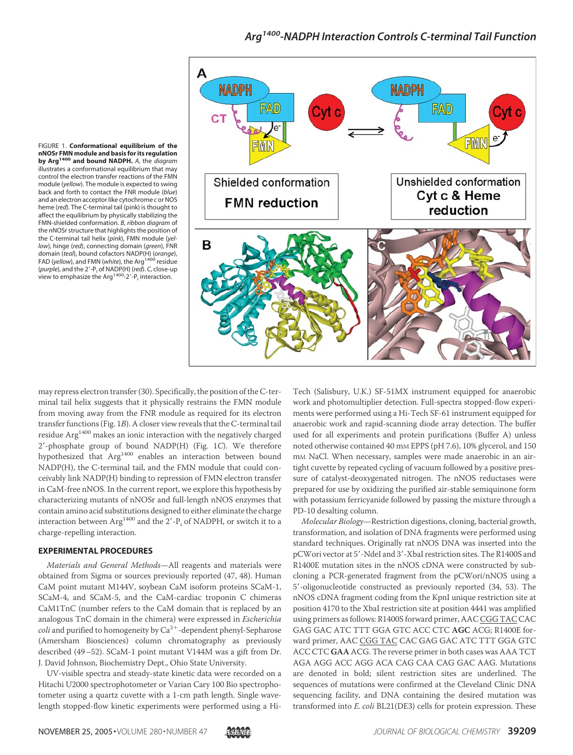

FIGURE 1. **Conformational equilibrium of the nNOSr FMN module and basis for its regulation by Arg<sup>1400</sup> and bound NADPH.** *A*, the *diagram* illustrates a conformational equilibrium that may control the electron transfer reactions of the FMN module (*yellow*). The module is expected to swing back and forth to contact the FNR module (*blue*) and an electron acceptor like cytochrome *c* or NOS heme (*red*). The C-terminal tail (pink) is thought to affect the equilibrium by physically stabilizing the FMN-shielded conformation. *B*, *ribbon diagram* of the nNOSr structure that highlights the position of the C-terminal tail helix (*pink*), FMN module (*yellow*), hinge (*red*), connecting domain (*green*), FNR domain (*teal*), bound cofactors NADP(H) (*orange*), FAD (*yellow*), and FMN (*white*), the Arg<sup>1400</sup> residue (purple), and the 2'-P<sub>i</sub> of NADP(H) (red). C, close-up view to emphasize the Arg<sup>1400</sup>-2'-P<sub>i</sub> interaction.

may repress electron transfer (30). Specifically, the position of the C-terminal tail helix suggests that it physically restrains the FMN module from moving away from the FNR module as required for its electron transfer functions (Fig. 1*B*). A closer view reveals that the C-terminal tail residue Arg<sup>1400</sup> makes an ionic interaction with the negatively charged 2--phosphate group of bound NADP(H) (Fig. 1*C*). We therefore hypothesized that Arg<sup>1400</sup> enables an interaction between bound NADP(H), the C-terminal tail, and the FMN module that could conceivably link NADP(H) binding to repression of FMN electron transfer in CaM-free nNOS. In the current report, we explore this hypothesis by characterizing mutants of nNOSr and full-length nNOS enzymes that contain amino acid substitutions designed to either eliminate the charge interaction between  $\text{Arg}^{\text{1400}}$  and the  $2'\text{-P}_\text{i}$  of NADPH, or switch it to a charge-repelling interaction.

### **EXPERIMENTAL PROCEDURES**

*Materials and General Methods*—All reagents and materials were obtained from Sigma or sources previously reported (47, 48). Human CaM point mutant M144V, soybean CaM isoform proteins SCaM-1, SCaM-4, and SCaM-5, and the CaM-cardiac troponin C chimeras CaM1TnC (number refers to the CaM domain that is replaced by an analogous TnC domain in the chimera) were expressed in *Escherichia* coli and purified to homogeneity by Ca<sup>2+</sup>-dependent phenyl-Sepharose (Amersham Biosciences) column chromatography as previously described (49–52). SCaM-1 point mutant V144M was a gift from Dr. J. David Johnson, Biochemistry Dept., Ohio State University.

UV-visible spectra and steady-state kinetic data were recorded on a Hitachi U2000 spectrophotometer or Varian Cary 100 Bio spectrophotometer using a quartz cuvette with a 1-cm path length. Single wavelength stopped-flow kinetic experiments were performed using a HiTech (Salisbury, U.K.) SF-51MX instrument equipped for anaerobic work and photomultiplier detection. Full-spectra stopped-flow experiments were performed using a Hi-Tech SF-61 instrument equipped for anaerobic work and rapid-scanning diode array detection. The buffer used for all experiments and protein purifications (Buffer A) unless noted otherwise contained 40 mM EPPS (pH 7.6), 10% glycerol, and 150 mM NaCl. When necessary, samples were made anaerobic in an airtight cuvette by repeated cycling of vacuum followed by a positive pressure of catalyst-deoxygenated nitrogen. The nNOS reductases were prepared for use by oxidizing the purified air-stable semiquinone form with potassium ferricyanide followed by passing the mixture through a PD-10 desalting column.

*Molecular Biology*—Restriction digestions, cloning, bacterial growth, transformation, and isolation of DNA fragments were performed using standard techniques. Originally rat nNOS DNA was inserted into the pCWori vector at 5'-NdeI and 3'-XbaI restriction sites. The R1400S and R1400E mutation sites in the nNOS cDNA were constructed by subcloning a PCR-generated fragment from the pCWori/nNOS using a 5--oligonucleotide constructed as previously reported (34, 53). The nNOS cDNA fragment coding from the KpnI unique restriction site at position 4170 to the XbaI restriction site at position 4441 was amplified using primers as follows: R1400S forward primer, AAC CGG TAC CAC GAG GAC ATC TTT GGA GTC ACC CTC **AGC** ACG; R1400E forward primer, AAC CGG TAC CAC GAG GAC ATC TTT GGA GTC ACC CTC **GAA** ACG. The reverse primer in both cases was AAA TCT AGA AGG ACC AGG ACA CAG CAA CAG GAC AAG. Mutations are denoted in bold; silent restriction sites are underlined. The sequences of mutations were confirmed at the Cleveland Clinic DNA sequencing facility, and DNA containing the desired mutation was transformed into *E. coli* BL21(DE3) cells for protein expression. These

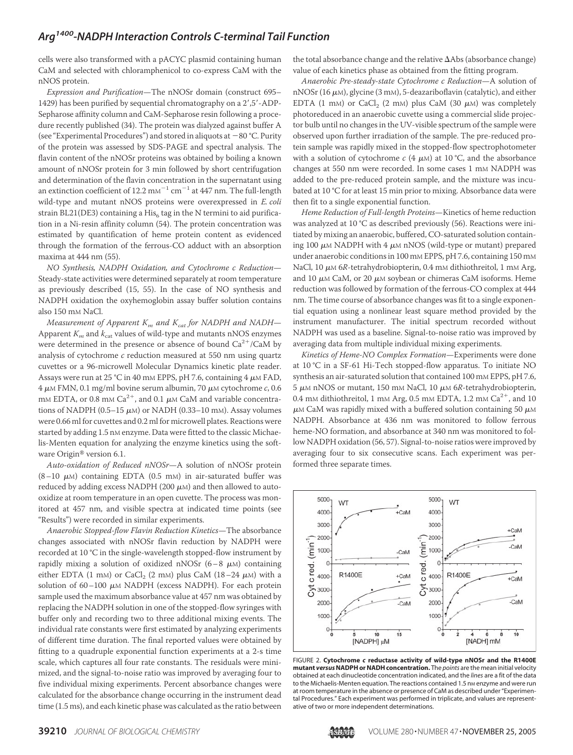cells were also transformed with a pACYC plasmid containing human CaM and selected with chloramphenicol to co-express CaM with the nNOS protein.

*Expression and Purification*—The nNOSr domain (construct 695– 1429) has been purified by sequential chromatography on a 2',5'-ADP-Sepharose affinity column and CaM-Sepharose resin following a procedure recently published (34). The protein was dialyzed against buffer A (see "Experimental Procedures") and stored in aliquots at  $-80$  °C. Purity of the protein was assessed by SDS-PAGE and spectral analysis. The flavin content of the nNOSr proteins was obtained by boiling a known amount of nNOSr protein for 3 min followed by short centrifugation and determination of the flavin concentration in the supernatant using an extinction coefficient of 12.2  $\text{mm}^{-1}$  cm<sup>-1</sup> at 447 nm. The full-length wild-type and mutant nNOS proteins were overexpressed in *E. coli* strain BL21(DE3) containing a  $\mathrm{His}_6$  tag in the N termini to aid purification in a Ni-resin affinity column (54). The protein concentration was estimated by quantification of heme protein content as evidenced through the formation of the ferrous-CO adduct with an absorption maxima at 444 nm (55).

*NO Synthesis, NADPH Oxidation, and Cytochrome c Reduction*— Steady-state activities were determined separately at room temperature as previously described (15, 55). In the case of NO synthesis and NADPH oxidation the oxyhemoglobin assay buffer solution contains also 150 mM NaCl.

*Measurement of Apparent K<sup>m</sup> and Kcat for NADPH and NADH*— Apparent  $K<sub>m</sub>$  and  $k<sub>cat</sub>$  values of wild-type and mutants nNOS enzymes were determined in the presence or absence of bound  $Ca^{2+}/CaM$  by analysis of cytochrome *c* reduction measured at 550 nm using quartz cuvettes or a 96-microwell Molecular Dynamics kinetic plate reader. Assays were run at 25 °C in 40 mm EPPS, pH 7.6, containing  $4 \mu$ M FAD,  $4 \mu$ M FMN, 0.1 mg/ml bovine serum albumin, 70  $\mu$ M cytochrome  $c$ , 0.6 mM EDTA, or 0.8 mM  $Ca^{2+}$ , and 0.1  $\mu$ M CaM and variable concentrations of NADPH (0.5–15  $\mu$ M) or NADH (0.33–10 mM). Assay volumes were 0.66 ml for cuvettes and 0.2 ml for microwell plates. Reactions were started by adding 1.5 nM enzyme. Data were fitted to the classic Michaelis-Menten equation for analyzing the enzyme kinetics using the software Origin<sup>®</sup> version 6.1.

*Auto-oxidation of Reduced nNOSr*—A solution of nNOSr protein  $(8-10 \mu)$  containing EDTA (0.5 mM) in air-saturated buffer was reduced by adding excess NADPH (200  $\mu$ M) and then allowed to autooxidize at room temperature in an open cuvette. The process was monitored at 457 nm, and visible spectra at indicated time points (see "Results") were recorded in similar experiments.

*Anaerobic Stopped-flow Flavin Reduction Kinetics*—The absorbance changes associated with nNOSr flavin reduction by NADPH were recorded at 10 °C in the single-wavelength stopped-flow instrument by rapidly mixing a solution of oxidized nNOSr  $(6-8 \mu)$  containing either EDTA (1 mm) or CaCl<sub>2</sub> (2 mm) plus CaM (18–24  $\mu$ m) with a solution of  $60-100 \mu M NADPH$  (excess NADPH). For each protein sample used the maximum absorbance value at 457 nm was obtained by replacing the NADPH solution in one of the stopped-flow syringes with buffer only and recording two to three additional mixing events. The individual rate constants were first estimated by analyzing experiments of different time duration. The final reported values were obtained by fitting to a quadruple exponential function experiments at a 2-s time scale, which captures all four rate constants. The residuals were minimized, and the signal-to-noise ratio was improved by averaging four to five individual mixing experiments. Percent absorbance changes were calculated for the absorbance change occurring in the instrument dead time (1.5 ms), and each kinetic phase was calculated as the ratio between

the total absorbance change and the relative  $\Delta$ Abs (absorbance change) value of each kinetics phase as obtained from the fitting program.

*Anaerobic Pre-steady-state Cytochrome c Reduction*—A solution of nNOSr (16  $\mu$ M), glycine (3 mM), 5-deazariboflavin (catalytic), and either EDTA (1 mm) or  $CaCl<sub>2</sub>$  (2 mm) plus CaM (30  $\mu$ m) was completely photoreduced in an anaerobic cuvette using a commercial slide projector bulb until no changes in the UV-visible spectrum of the sample were observed upon further irradiation of the sample. The pre-reduced protein sample was rapidly mixed in the stopped-flow spectrophotometer with a solution of cytochrome  $c$  (4  $\mu$ M) at 10 °C, and the absorbance changes at 550 nm were recorded. In some cases 1 mM NADPH was added to the pre-reduced protein sample, and the mixture was incubated at 10 °C for at least 15 min prior to mixing. Absorbance data were then fit to a single exponential function.

*Heme Reduction of Full-length Proteins*—Kinetics of heme reduction was analyzed at 10 °C as described previously (56). Reactions were initiated by mixing an anaerobic, buffered, CO-saturated solution containing 100  $\mu$ M NADPH with 4  $\mu$ M nNOS (wild-type or mutant) prepared under anaerobic conditions in 100 mm EPPS, pH 7.6, containing 150 mm NaCl, 10  $\mu$ M 6*R*-tetrahydrobiopterin, 0.4 mM dithiothreitol, 1 mM Arg, and 10  $\mu$ M CaM, or 20  $\mu$ M soybean or chimeras CaM isoforms. Heme reduction was followed by formation of the ferrous-CO complex at 444 nm. The time course of absorbance changes was fit to a single exponential equation using a nonlinear least square method provided by the instrument manufacturer. The initial spectrum recorded without NADPH was used as a baseline. Signal-to-noise ratio was improved by averaging data from multiple individual mixing experiments.

*Kinetics of Heme-NO Complex Formation*—Experiments were done at 10 °C in a SF-61 Hi-Tech stopped-flow apparatus. To initiate NO synthesis an air-saturated solution that contained 100 mm EPPS, pH 7.6,  $5 \mu$ M nNOS or mutant, 150 mM NaCl, 10  $\mu$ M 6*R*-tetrahydrobiopterin, 0.4 mm dithiothreitol, 1 mm Arg, 0.5 mm EDTA, 1.2 mm  $Ca^{2+}$ , and 10  $\mu$ M CaM was rapidly mixed with a buffered solution containing 50  $\mu$ M NADPH. Absorbance at 436 nm was monitored to follow ferrous heme-NO formation, and absorbance at 340 nm was monitored to follow NADPH oxidation (56, 57). Signal-to-noise ratios were improved by averaging four to six consecutive scans. Each experiment was performed three separate times.



FIGURE 2. **Cytochrome** *c* **reductase activity of wild-type nNOSr and the R1400E mutant** *versus***NADPH or NADH concentration.** The *points* are the mean initial velocity obtained at each dinucleotide concentration indicated, and the *lines* are a fit of the data to the Michaelis-Menten equation. The reactions contained 1.5 nm enzyme and were run at room temperature in the absence or presence of CaM as described under "Experimental Procedures." Each experiment was performed in triplicate, and values are representative of two or more independent determinations.

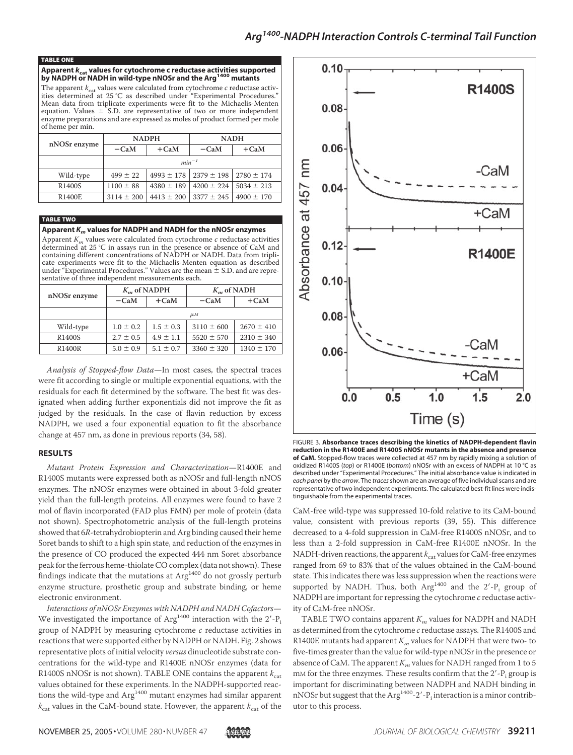#### TABLE ONE

# **Apparent** *k***cat values for cytochrome c reductase activities supported by NADPH or NADH in wild-type nNOSr and the Arg<sup>1400</sup> mutants**

The apparent  $k_{\text{cat}}$  values were calculated from cytochrome  $c$  reductase activities determined at 25 °C as described under "Experimental Procedures." Mean data from triplicate experiments were fit to the Michaelis-Menten equation. Values  $\pm$  S.D. are representative of two or more independent enzyme preparations and are expressed as moles of product formed per mole of heme per min.

| nNOSr enzyme | <b>NADPH</b>   |                | <b>NADH</b>    |                |  |
|--------------|----------------|----------------|----------------|----------------|--|
|              | $-CaM$         | $+CaM$         | $-CaM$         | $+$ CaM        |  |
|              | $min^{-1}$     |                |                |                |  |
| Wild-type    | $499 \pm 22$   | $4993 \pm 178$ | $2379 \pm 198$ | $2780 \pm 174$ |  |
| R1400S       | $1100 \pm 88$  | $4380 \pm 189$ | $4200 \pm 224$ | $5034 \pm 213$ |  |
| R1400E       | $3114 \pm 200$ | $4413 \pm 200$ | $3377 \pm 245$ | $4900 \pm 170$ |  |

TABLE TWO **Apparent** *K<sup>m</sup>* **values for NADPH and NADH for the nNOSr enzymes**

Apparent  $K_m$  values were calculated from cytochrome  $c$  reductase activities determined at 25 °C in assays run in the presence or absence of CaM and containing different concentrations of NADPH or NADH. Data from triplicate experiments were fit to the Michaelis-Menten equation as described<br>under "Experimental Procedures." Values are the mean ± S.D. and are representative of three independent measurements each.

| nNOSr enzyme        | $K_{\mu}$ of NADPH |               | $K_{\mu}$ of NADH |                |  |
|---------------------|--------------------|---------------|-------------------|----------------|--|
|                     | $-CaM$             | $+CaM$        | $-CaM$            | $+$ CaM        |  |
|                     | $\mu$ <sub>M</sub> |               |                   |                |  |
| Wild-type           | $1.0 \pm 0.2$      | $1.5 \pm 0.3$ | $3110 \pm 600$    | $2670 \pm 410$ |  |
| R <sub>1400</sub> S | $2.7 \pm 0.5$      | $4.9 \pm 1.1$ | $5520 \pm 570$    | $2310 \pm 340$ |  |
| R1400R              | $5.0 \pm 0.9$      | $5.1 \pm 0.7$ | $3360 \pm 320$    | $1340 \pm 170$ |  |

*Analysis of Stopped-flow Data*—In most cases, the spectral traces were fit according to single or multiple exponential equations, with the residuals for each fit determined by the software. The best fit was designated when adding further exponentials did not improve the fit as judged by the residuals. In the case of flavin reduction by excess NADPH, we used a four exponential equation to fit the absorbance change at 457 nm, as done in previous reports (34, 58).

### **RESULTS**

*Mutant Protein Expression and Characterization*—R1400E and R1400S mutants were expressed both as nNOSr and full-length nNOS enzymes. The nNOSr enzymes were obtained in about 3-fold greater yield than the full-length proteins. All enzymes were found to have 2 mol of flavin incorporated (FAD plus FMN) per mole of protein (data not shown). Spectrophotometric analysis of the full-length proteins showed that 6*R*-tetrahydrobiopterin and Arg binding caused their heme Soret bands to shift to a high spin state, and reduction of the enzymes in the presence of CO produced the expected 444 nm Soret absorbance peak for the ferrous heme-thiolate CO complex (data not shown). These findings indicate that the mutations at  $Arg<sup>1400</sup>$  do not grossly perturb enzyme structure, prosthetic group and substrate binding, or heme electronic environment.

*Interactions of nNOSr Enzymes with NADPH and NADH Cofactors*— We investigated the importance of  $\rm{Arg}^{1400}$  interaction with the  $2'\textrm{-}P_i$ group of NADPH by measuring cytochrome *c* reductase activities in reactions that were supported either by NADPH or NADH. Fig. 2 shows representative plots of initial velocity *versus* dinucleotide substrate concentrations for the wild-type and R1400E nNOSr enzymes (data for R1400S nNOSr is not shown). TABLE ONE contains the apparent  $k_{\text{cat}}$ values obtained for these experiments. In the NADPH-supported reactions the wild-type and  $\mathrm{Arg}^{1400}$  mutant enzymes had similar apparent  $k_{\text{cat}}$  values in the CaM-bound state. However, the apparent  $k_{\text{cat}}$  of the



FIGURE 3. **Absorbance traces describing the kinetics of NADPH-dependent flavin reduction in the R1400E and R1400S nNOSr mutants in the absence and presence of CaM.** Stopped-flow traces were collected at 457 nm by rapidly mixing a solution of oxidized R1400S (*top*) or R1400E (*bottom*) nNOSr with an excess of NADPH at 10 °C as described under "Experimental Procedures." The initial absorbance value is indicated in *each panel* by the *arrow*. The *traces*shown are an average of five individual scans and are representative of two independent experiments. The calculated best-fit lines were indistinguishable from the experimental traces.

CaM-free wild-type was suppressed 10-fold relative to its CaM-bound value, consistent with previous reports (39, 55). This difference decreased to a 4-fold suppression in CaM-free R1400S nNOSr, and to less than a 2-fold suppression in CaM-free R1400E nNOSr. In the NADH-driven reactions, the apparent  $k_{\text{cat}}$  values for CaM-free enzymes ranged from 69 to 83% that of the values obtained in the CaM-bound state. This indicates there was less suppression when the reactions were supported by NADH. Thus, both  $Arg<sup>1400</sup>$  and the 2'- $P_i$  group of NADPH are important for repressing the cytochrome *c* reductase activity of CaM-free nNOSr.

TABLE TWO contains apparent *K<sup>m</sup>* values for NADPH and NADH as determined from the cytochrome *c* reductase assays. The R1400S and R1400E mutants had apparent  $K_m$  values for NADPH that were two- to five-times greater than the value for wild-type nNOSr in the presence or absence of CaM. The apparent *K<sup>m</sup>* values for NADH ranged from 1 to 5 mM for the three enzymes. These results confirm that the  $2'$ -P<sub>i</sub> group is important for discriminating between NADPH and NADH binding in nNOSr but suggest that the Arg $^{1400}$ -2'-P<sub>i</sub> interaction is a minor contributor to this process.

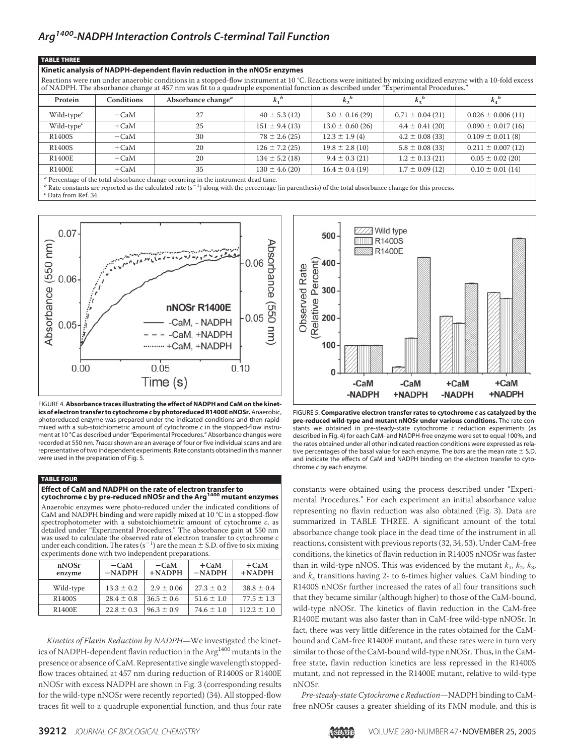#### TABLE THREE

### **Kinetic analysis of NADPH-dependent flavin reduction in the nNOSr enzymes**

Reactions were run under anaerobic conditions in a stopped-flow instrument at 10 °C. Reactions were initiated by mixing oxidized enzyme with a 10-fold excess of NADPH. The absorbance change at 457 nm was fit to a quadruple exponential function as described under "Experimental Procedures."

| Protein                                                                                          | Conditions | Absorbance change <sup><i>a</i></sup> |                    | $k_2^b$              | $k_3^b$             |                       |
|--------------------------------------------------------------------------------------------------|------------|---------------------------------------|--------------------|----------------------|---------------------|-----------------------|
| Wild-type $^c$                                                                                   | $-CaM$     | 27                                    | $40 \pm 5.3(12)$   | $3.0 \pm 0.16(29)$   | $0.71 \pm 0.04(21)$ | $0.026 \pm 0.006(11)$ |
| Wild-type $^c$                                                                                   | $+CaM$     | 25                                    | $151 \pm 9.4(13)$  | $13.0 \pm 0.60$ (26) | $4.4 \pm 0.41(20)$  | $0.090 \pm 0.017(16)$ |
| R <sub>1400</sub> S                                                                              | $-CaM$     | 30                                    | $78 \pm 2.6(25)$   | $12.3 \pm 1.9(4)$    | $4.2 \pm 0.08$ (33) | $0.109 \pm 0.011(8)$  |
| R1400S                                                                                           | $+CaM$     | 20                                    | $126 \pm 7.2$ (25) | $19.8 \pm 2.8$ (10)  | $5.8 \pm 0.08$ (33) | $0.211 \pm 0.007(12)$ |
| <b>R1400E</b>                                                                                    | $-CaM$     | 20                                    | $134 \pm 5.2$ (18) | $9.4 \pm 0.3$ (21)   | $1.2 \pm 0.13(21)$  | $0.05 \pm 0.02$ (20)  |
| R1400E                                                                                           | $+CaM$     | 35                                    | $130 \pm 4.6(20)$  | $16.4 \pm 0.4$ (19)  | $1.7 \pm 0.09$ (12) | $0.10 \pm 0.01$ (14)  |
| $\alpha$ and $\alpha$ and $\alpha$ and $\alpha$ and $\alpha$<br>$\sim$ $\sim$ $\sim$ $\sim$<br>. |            |                                       |                    |                      |                     |                       |

<sup>a</sup> Percentage of the total absorbance change occurring in the instrument dead time.

b Rate constants are reported as the calculated rate (s<sup>-1</sup>) along with the percentage (in parenthesis) of the total absorbance change for this process.

 $^c$  Data from Ref. 34.



FIGURE 4.**Absorbance traces illustrating the effect of NADPH and CaM on the kinetics of electron transfer to cytochrome** *c***by photoreduced R1400E nNOSr.**Anaerobic, photoreduced enzyme was prepared under the indicated conditions and then rapidmixed with a sub-stoichiometric amount of cytochrome *c* in the stopped-flow instrument at 10 °C as described under "Experimental Procedures." Absorbance changes were recorded at 550 nm. *Traces*shown are an average of four or five individual scans and are representative of two independent experiments. Rate constants obtained in this manner were used in the preparation of Fig. 5.

### TABLE FOUR

# **Effect of CaM and NADPH on the rate of electron transfer to cytochrome c by pre-reduced nNOSr and the Arg<sup>1400</sup> mutant enzymes**

Anaerobic enzymes were photo-reduced under the indicated conditions of CaM and NADPH binding and were rapidly mixed at 10 °C in a stopped-flow spectrophotometer with a substoichiometric amount of cytochrome c, as detailed under "Experimental Procedures." The absorbance gain at 550 nm was used to calculate the observed rate of electron transfer to cytochrome  $c$ was used to calculate the observed rate of electron transfer to eyesembrite to under each condition. The rates  $(s^{-1})$  are the mean  $\pm$  S.D. of five to six mixing experiments done with two independent preparations.

| nNOSr<br>enzyme     | $-cam$<br>$-NADPH$ | $-CaM$<br>$+$ NADPH | $+$ CaM<br>$-NADPH$ | $+$ CaM<br>$+$ NADPH |
|---------------------|--------------------|---------------------|---------------------|----------------------|
| Wild-type           | $13.3 \pm 0.2$     | $2.9 \pm 0.06$      | $27.3 \pm 0.2$      | $38.8 \pm 0.4$       |
| R <sub>1400</sub> S | $28.4 \pm 0.8$     | $36.5 \pm 0.6$      | $51.6 \pm 1.0$      | $77.5 \pm 1.3$       |
| R1400E              | $22.8 \pm 0.3$     | $96.3 \pm 0.9$      | $74.6 \pm 1.0$      | $112.2 + 1.0$        |

*Kinetics of Flavin Reduction by NADPH*—We investigated the kinetics of NADPH-dependent flavin reduction in the Arg<sup>1400</sup> mutants in the presence or absence of CaM. Representative single wavelength stoppedflow traces obtained at 457 nm during reduction of R1400S or R1400E nNOSr with excess NADPH are shown in Fig. 3 (corresponding results for the wild-type nNOSr were recently reported) (34). All stopped-flow traces fit well to a quadruple exponential function, and thus four rate



FIGURE 5. **Comparative electron transfer rates to cytochrome** *c* **as catalyzed by the pre-reduced wild-type and mutant nNOSr under various conditions.** The rate constants we obtained in pre-steady-state cytochrome *c* reduction experiments (as described in Fig. 4) for each CaM- and NADPH-free enzyme were set to equal 100%, and the rates obtained under all other indicated reaction conditions were expressed as relative percentages of the basal value for each enzyme. The *bars* are the mean rate  $\pm$  S.D. and indicate the effects of CaM and NADPH binding on the electron transfer to cytochrome *c* by each enzyme.

constants were obtained using the process described under "Experimental Procedures." For each experiment an initial absorbance value representing no flavin reduction was also obtained (Fig. 3). Data are summarized in TABLE THREE. A significant amount of the total absorbance change took place in the dead time of the instrument in all reactions, consistent with previous reports (32, 34, 53). Under CaM-free conditions, the kinetics of flavin reduction in R1400S nNOSr was faster than in wild-type nNOS. This was evidenced by the mutant  $k_1$ ,  $k_2$ ,  $k_3$ , and *k*<sup>4</sup> transitions having 2- to 6-times higher values. CaM binding to R1400S nNOSr further increased the rates of all four transitions such that they became similar (although higher) to those of the CaM-bound, wild-type nNOSr. The kinetics of flavin reduction in the CaM-free R1400E mutant was also faster than in CaM-free wild-type nNOSr. In fact, there was very little difference in the rates obtained for the CaMbound and CaM-free R1400E mutant, and these rates were in turn very similar to those of the CaM-bound wild-type nNOSr. Thus, in the CaMfree state, flavin reduction kinetics are less repressed in the R1400S mutant, and not repressed in the R1400E mutant, relative to wild-type nNOSr.

*Pre-steady-state Cytochrome c Reduction*—NADPH binding to CaMfree nNOSr causes a greater shielding of its FMN module, and this is

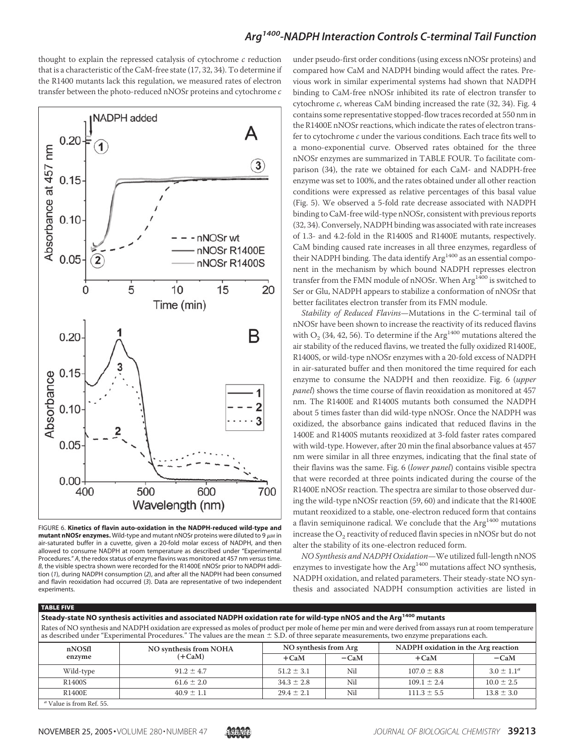thought to explain the repressed catalysis of cytochrome *c* reduction that is a characteristic of the CaM-free state (17, 32, 34). To determine if the R1400 mutants lack this regulation, we measured rates of electron transfer between the photo-reduced nNOSr proteins and cytochrome *c*



FIGURE 6. **Kinetics of flavin auto-oxidation in the NADPH-reduced wild-type and**  $m$ utant nNOSr enzymes. Wild-type and mutant nNOSr proteins were diluted to 9  $\mu$ M in air-saturated buffer in a cuvette, given a 20-fold molar excess of NADPH, and then allowed to consume NADPH at room temperature as described under "Experimental Procedures." *A*, the redox status of enzyme flavins was monitored at 457 nm *versus*time. *B*, the visible spectra shown were recorded for the R1400E nNOSr prior to NADPH addition (*1*), during NADPH consumption (*2*), and after all the NADPH had been consumed and flavin reoxidation had occurred (*3*). Data are representative of two independent experiments.

under pseudo-first order conditions (using excess nNOSr proteins) and compared how CaM and NADPH binding would affect the rates. Previous work in similar experimental systems had shown that NADPH binding to CaM-free nNOSr inhibited its rate of electron transfer to cytochrome *c*, whereas CaM binding increased the rate (32, 34). Fig. 4 contains some representative stopped-flow traces recorded at 550 nm in the R1400E nNOSr reactions, which indicate the rates of electron transfer to cytochrome *c* under the various conditions. Each trace fits well to a mono-exponential curve. Observed rates obtained for the three nNOSr enzymes are summarized in TABLE FOUR. To facilitate comparison (34), the rate we obtained for each CaM- and NADPH-free enzyme was set to 100%, and the rates obtained under all other reaction conditions were expressed as relative percentages of this basal value (Fig. 5). We observed a 5-fold rate decrease associated with NADPH binding to CaM-free wild-type nNOSr, consistent with previous reports (32, 34). Conversely, NADPH binding was associated with rate increases of 1.3- and 4.2-fold in the R1400S and R1400E mutants, respectively. CaM binding caused rate increases in all three enzymes, regardless of their NADPH binding. The data identify Arg<sup>1400</sup> as an essential component in the mechanism by which bound NADPH represses electron transfer from the FMN module of nNOSr. When Arg<sup>1400</sup> is switched to Ser or Glu, NADPH appears to stabilize a conformation of nNOSr that better facilitates electron transfer from its FMN module.

*Stability of Reduced Flavins*—Mutations in the C-terminal tail of nNOSr have been shown to increase the reactivity of its reduced flavins with  $\mathrm{O}_2$  (34, 42, 56). To determine if the  $\mathrm{Arg}^{1400}$  mutations altered the air stability of the reduced flavins, we treated the fully oxidized R1400E, R1400S, or wild-type nNOSr enzymes with a 20-fold excess of NADPH in air-saturated buffer and then monitored the time required for each enzyme to consume the NADPH and then reoxidize. Fig. 6 (*upper panel*) shows the time course of flavin reoxidation as monitored at 457 nm. The R1400E and R1400S mutants both consumed the NADPH about 5 times faster than did wild-type nNOSr. Once the NADPH was oxidized, the absorbance gains indicated that reduced flavins in the 1400E and R1400S mutants reoxidized at 3-fold faster rates compared with wild-type. However, after 20 min the final absorbance values at 457 nm were similar in all three enzymes, indicating that the final state of their flavins was the same. Fig. 6 (*lower panel*) contains visible spectra that were recorded at three points indicated during the course of the R1400E nNOSr reaction. The spectra are similar to those observed during the wild-type nNOSr reaction (59, 60) and indicate that the R1400E mutant reoxidized to a stable, one-electron reduced form that contains a flavin semiquinone radical. We conclude that the  $Arg<sup>1400</sup>$  mutations increase the  $\mathrm{O}_2$  reactivity of reduced flavin species in nNOSr but do not alter the stability of its one-electron reduced form.

*NO Synthesis and NADPH Oxidation*—We utilized full-length nNOS enzymes to investigate how the Arg<sup>1400</sup> mutations affect NO synthesis, NADPH oxidation, and related parameters. Their steady-state NO synthesis and associated NADPH consumption activities are listed in

### TABLE FIVE

**Steady-state NO synthesis activities and associated NADPH oxidation rate for wild-type nNOS and the Arg<sup>1400</sup> mutants** Rates of NO synthesis and NADPH oxidation are expressed as moles of product per mole of heme per min and were derived from assays run at room temperature as described under "Experimental Procedures." The values are the mean  $\pm$  S.D. of three separate measurements, two enzyme preparations each.

| nNOSfl<br>enzyme           | NO synthesis from NOHA<br>$(+CaM)$ | NO synthesis from Arg |        | NADPH oxidation in the Arg reaction |                 |
|----------------------------|------------------------------------|-----------------------|--------|-------------------------------------|-----------------|
|                            |                                    | $+CaM$                | $-cam$ | $+CaM$                              | $-CaM$          |
| Wild-type                  | $91.2 \pm 4.7$                     | $51.2 \pm 3.1$        | Nil    | $107.0 \pm 8.8$                     | $3.0 \pm 1.1^a$ |
| R1400S                     | $61.6 \pm 2.0$                     | $34.3 \pm 2.8$        | Nil    | $109.1 \pm 2.4$                     | $10.0 \pm 2.5$  |
| R1400E                     | $40.9 \pm 1.1$                     | $29.4 \pm 2.1$        | Nil    | $111.3 \pm 5.5$                     | $13.8 \pm 3.0$  |
| $a$ Value is from Ref. 55. |                                    |                       |        |                                     |                 |

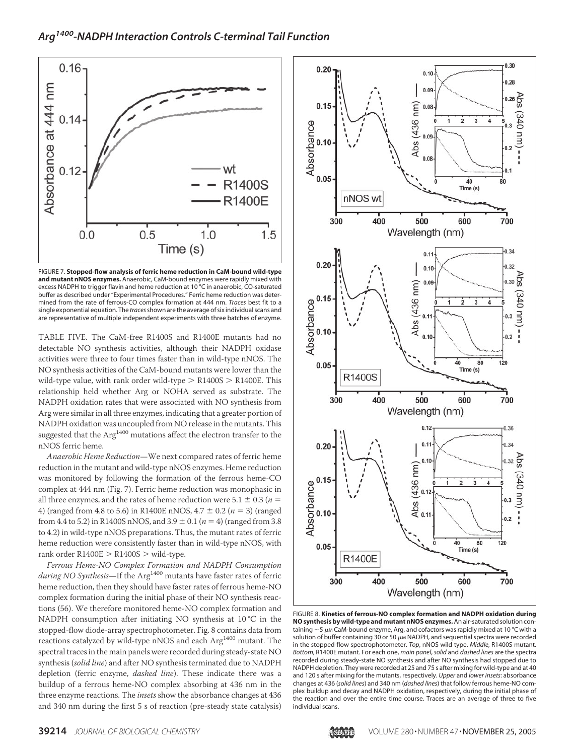

FIGURE 7. **Stopped-flow analysis of ferric heme reduction in CaM-bound wild-type and mutant nNOS enzymes.** Anaerobic, CaM-bound enzymes were rapidly mixed with excess NADPH to trigger flavin and heme reduction at 10 °C in anaerobic, CO-saturated buffer as described under "Experimental Procedures." Ferric heme reduction was determined from the rate of ferrous-CO complex formation at 444 nm. *Traces* best fit to a single exponential equation. The *traces*shown are the average of six individual scans and are representative of multiple independent experiments with three batches of enzyme.

TABLE FIVE. The CaM-free R1400S and R1400E mutants had no detectable NO synthesis activities, although their NADPH oxidase activities were three to four times faster than in wild-type nNOS. The NO synthesis activities of the CaM-bound mutants were lower than the wild-type value, with rank order wild-type  $>$  R1400S  $>$  R1400E. This relationship held whether Arg or NOHA served as substrate. The NADPH oxidation rates that were associated with NO synthesis from Arg were similar in all three enzymes, indicating that a greater portion of NADPH oxidation was uncoupled from NO release in the mutants. This suggested that the  $Arg<sup>1400</sup>$  mutations affect the electron transfer to the nNOS ferric heme.

*Anaerobic Heme Reduction*—We next compared rates of ferric heme reduction in the mutant and wild-type nNOS enzymes. Heme reduction was monitored by following the formation of the ferrous heme-CO complex at 444 nm (Fig. 7). Ferric heme reduction was monophasic in all three enzymes, and the rates of heme reduction were  $5.1 \pm 0.3$  ( $n =$ 4) (ranged from 4.8 to 5.6) in R1400E nNOS,  $4.7 \pm 0.2$  ( $n = 3$ ) (ranged from 4.4 to 5.2) in R1400S nNOS, and  $3.9 \pm 0.1$  ( $n = 4$ ) (ranged from 3.8 to 4.2) in wild-type nNOS preparations. Thus, the mutant rates of ferric heme reduction were consistently faster than in wild-type nNOS, with rank order  $R1400E > R1400S >$  wild-type.

*Ferrous Heme-NO Complex Formation and NADPH Consumption during NO Synthesis*—If the Arg<sup>1400</sup> mutants have faster rates of ferric heme reduction, then they should have faster rates of ferrous heme-NO complex formation during the initial phase of their NO synthesis reactions (56). We therefore monitored heme-NO complex formation and NADPH consumption after initiating NO synthesis at 10 °C in the stopped-flow diode-array spectrophotometer. Fig. 8 contains data from reactions catalyzed by wild-type nNOS and each Arg<sup>1400</sup> mutant. The spectral traces in the main panels were recorded during steady-state NO synthesis (*solid line*) and after NO synthesis terminated due to NADPH depletion (ferric enzyme, *dashed line*). These indicate there was a buildup of a ferrous heme-NO complex absorbing at 436 nm in the three enzyme reactions. The *insets* show the absorbance changes at 436 and 340 nm during the first 5 s of reaction (pre-steady state catalysis)



FIGURE 8. **Kinetics of ferrous-NO complex formation and NADPH oxidation during NO synthesis by wild-type and mutant nNOS enzymes.**An air-saturated solution containing  $\sim$  5  $\mu$ M CaM-bound enzyme, Arg, and cofactors was rapidly mixed at 10 °C with a solution of buffer containing 30 or 50  $\mu$ M NADPH, and sequential spectra were recorded in the stopped-flow spectrophotometer. *Top*, nNOS wild type. *Middle*, R1400S mutant. *Bottom*, R1400E mutant. For each one, *main panel*, *solid* and *dashed lines* are the spectra recorded during steady-state NO synthesis and after NO synthesis had stopped due to NADPH depletion. They were recorded at 25 and 75 s after mixing for wild-type and at 40 and 120 s after mixing for the mutants, respectively. *Upper* and *lower insets*: absorbance changes at 436 (*solid lines*) and 340 nm (*dashed lines*) that follow ferrous heme-NO complex buildup and decay and NADPH oxidation, respectively, during the initial phase of the reaction and over the entire time course. Traces are an average of three to five individual scans.

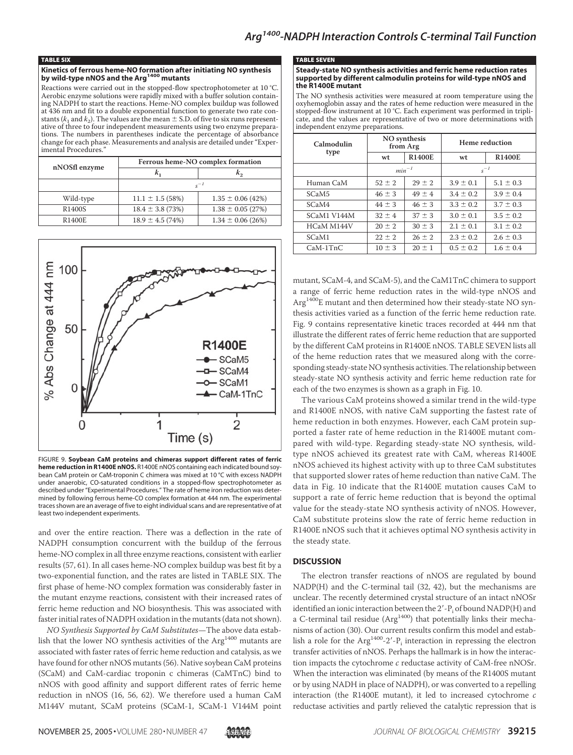#### TABLE SIX

## **Kinetics of ferrous heme-NO formation after initiating NO synthesis by wild-type nNOS and the Arg<sup>1400</sup> mutants**

Reactions were carried out in the stopped-flow spectrophotometer at 10 °C. Aerobic enzyme solutions were rapidly mixed with a buffer solution containing NADPH to start the reactions. Heme-NO complex buildup was followed at 436 nm and fit to a double exponential function to generate two rate constants ( $k_1$  and  $k_2$ ). The values are the mean  $\pm$  S.D. of five to six runs representative of three to four independent measurements using two enzyme preparations. The numbers in parentheses indicate the percentage of absorbance change for each phase. Measurements and analysis are detailed under "Experimental Procedures.

| nNOSfl enzyme       | Ferrous heme-NO complex formation |                       |  |  |
|---------------------|-----------------------------------|-----------------------|--|--|
|                     | $k_{1}$                           | $k_{2}$               |  |  |
|                     | $s^{-1}$                          |                       |  |  |
| Wild-type           | $11.1 \pm 1.5$ (58%)              | $1.35 \pm 0.06$ (42%) |  |  |
| R <sub>1400</sub> S | $18.4 \pm 3.8$ (73%)              | $1.38 \pm 0.05$ (27%) |  |  |
| R1400E              | $18.9 \pm 4.5(74%)$               | $1.34 \pm 0.06$ (26%) |  |  |



FIGURE 9. **Soybean CaM proteins and chimeras support different rates of ferric heme reduction in R1400E nNOS.** R1400E nNOS containing each indicated bound soybean CaM protein or CaM-troponin C chimera was mixed at 10 °C with excess NADPH under anaerobic, CO-saturated conditions in a stopped-flow spectrophotometer as described under "Experimental Procedures." The rate of heme iron reduction was determined by following ferrous heme-CO complex formation at 444 nm. The experimental traces shown are an average of five to eight individual scans and are representative of at least two independent experiments.

and over the entire reaction. There was a deflection in the rate of NADPH consumption concurrent with the buildup of the ferrous heme-NO complex in all three enzyme reactions, consistent with earlier results (57, 61). In all cases heme-NO complex buildup was best fit by a two-exponential function, and the rates are listed in TABLE SIX. The first phase of heme-NO complex formation was considerably faster in the mutant enzyme reactions, consistent with their increased rates of ferric heme reduction and NO biosynthesis. This was associated with faster initial rates of NADPH oxidation in the mutants (data not shown).

*NO Synthesis Supported by CaM Substitutes*—The above data establish that the lower NO synthesis activities of the  $Arg<sup>1400</sup>$  mutants are associated with faster rates of ferric heme reduction and catalysis, as we have found for other nNOS mutants (56). Native soybean CaM proteins (SCaM) and CaM-cardiac troponin c chimeras (CaMTnC) bind to nNOS with good affinity and support different rates of ferric heme reduction in nNOS (16, 56, 62). We therefore used a human CaM M144V mutant, SCaM proteins (SCaM-1, SCaM-1 V144M point

#### TABLE SEVEN

#### **Steady-state NO synthesis activities and ferric heme reduction rates supported by different calmodulin proteins for wild-type nNOS and the R1400E mutant**

The NO synthesis activities were measured at room temperature using the oxyhemoglobin assay and the rates of heme reduction were measured in the stopped-flow instrument at 10 °C. Each experiment was performed in triplicate, and the values are representative of two or more determinations with independent enzyme preparations.

| Calmodulin        | NO synthesis<br>from Arg |               | Heme reduction |               |
|-------------------|--------------------------|---------------|----------------|---------------|
| type              | wt                       | <b>R1400E</b> | wt             | <b>R1400E</b> |
|                   | $min^{-1}$               |               | $s^{-1}$       |               |
| Human CaM         | $52 \pm 2$               | $29 \pm 2$    | $3.9 \pm 0.1$  | $5.1 \pm 0.3$ |
| SCaM <sub>5</sub> | $46 \pm 3$               | $49 \pm 4$    | $3.4 \pm 0.2$  | $3.9 \pm 0.4$ |
| SCaM4             | $44 \pm 3$               | $46 \pm 3$    | $3.3 \pm 0.2$  | $3.7 \pm 0.3$ |
| SCaM1 V144M       | $32 + 4$                 | $37 + 3$      | $3.0 \pm 0.1$  | $3.5 \pm 0.2$ |
| HCaM M144V        | $20 \pm 2$               | $30 \pm 3$    | $2.1 \pm 0.1$  | $3.1 \pm 0.2$ |
| SCaM1             | $22 \pm 2$               | $26 \pm 2$    | $2.3 \pm 0.2$  | $2.6 \pm 0.3$ |
| $CaM-1TnC$        | $10 \pm 3$               | $20 \pm 1$    | $0.5 \pm 0.2$  | $1.6 \pm 0.4$ |

mutant, SCaM-4, and SCaM-5), and the CaM1TnC chimera to support a range of ferric heme reduction rates in the wild-type nNOS and Arg1400E mutant and then determined how their steady-state NO synthesis activities varied as a function of the ferric heme reduction rate. Fig. 9 contains representative kinetic traces recorded at 444 nm that illustrate the different rates of ferric heme reduction that are supported by the different CaM proteins in R1400E nNOS. TABLE SEVEN lists all of the heme reduction rates that we measured along with the corresponding steady-state NO synthesis activities. The relationship between steady-state NO synthesis activity and ferric heme reduction rate for each of the two enzymes is shown as a graph in Fig. 10.

The various CaM proteins showed a similar trend in the wild-type and R1400E nNOS, with native CaM supporting the fastest rate of heme reduction in both enzymes. However, each CaM protein supported a faster rate of heme reduction in the R1400E mutant compared with wild-type. Regarding steady-state NO synthesis, wildtype nNOS achieved its greatest rate with CaM, whereas R1400E nNOS achieved its highest activity with up to three CaM substitutes that supported slower rates of heme reduction than native CaM. The data in Fig. 10 indicate that the R1400E mutation causes CaM to support a rate of ferric heme reduction that is beyond the optimal value for the steady-state NO synthesis activity of nNOS. However, CaM substitute proteins slow the rate of ferric heme reduction in R1400E nNOS such that it achieves optimal NO synthesis activity in the steady state.

### **DISCUSSION**

The electron transfer reactions of nNOS are regulated by bound NADP(H) and the C-terminal tail (32, 42), but the mechanisms are unclear. The recently determined crystal structure of an intact nNOSr identified an ionic interaction between the  $2^{\prime}$ -P<sub>i</sub> of bound NADP(H) and a C-terminal tail residue ( $Arg<sup>1400</sup>$ ) that potentially links their mechanisms of action (30). Our current results confirm this model and establish a role for the  $\text{Arg}^{1400}$ -2'- $\text{P}_i$  interaction in repressing the electron transfer activities of nNOS. Perhaps the hallmark is in how the interaction impacts the cytochrome *c* reductase activity of CaM-free nNOSr. When the interaction was eliminated (by means of the R1400S mutant or by using NADH in place of NADPH), or was converted to a repelling interaction (the R1400E mutant), it led to increased cytochrome *c* reductase activities and partly relieved the catalytic repression that is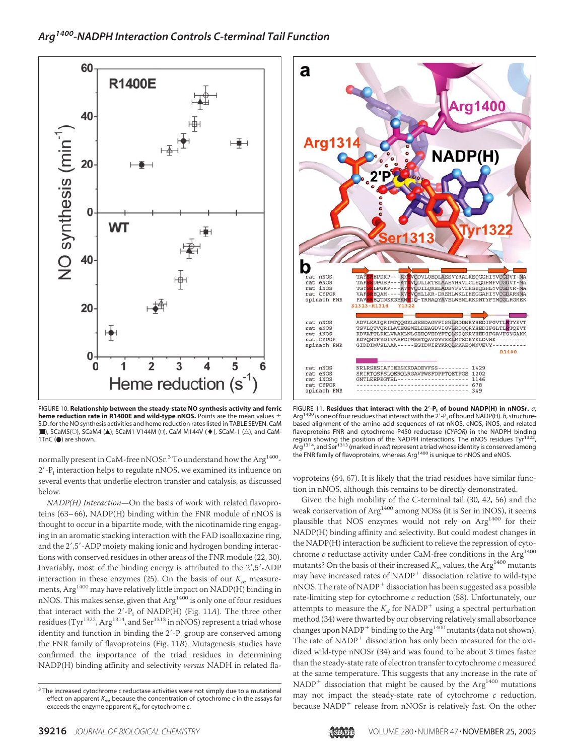

FIGURE 10. **Relationship between the steady-state NO synthesis activity and ferric heme reduction rate in R1400E and wild-type nNOS.** Points are the mean values S.D. for the NO synthesis activities and heme reduction rates listed in TABLE SEVEN. CaM  $(\blacksquare)$ , SCaM5( $\odot$ ), SCaM4 ( $\blacktriangle$ ), SCaM1 V144M ( $\Box$ ), CaM M144V ( $\blacklozenge$ ), SCaM-1 ( $\triangle$ ), and CaM-1TnC (●) are shown.

normally present in CaM-free nNOSr. $^3$  To understand how the Arg $^{1400}$ - $2^{\prime}$ -P<sub>i</sub> interaction helps to regulate nNOS, we examined its influence on several events that underlie electron transfer and catalysis, as discussed below.

*NADP(H) Interaction*—On the basis of work with related flavoproteins (63–66), NADP(H) binding within the FNR module of nNOS is thought to occur in a bipartite mode, with the nicotinamide ring engaging in an aromatic stacking interaction with the FAD isoalloxazine ring, and the 2',5'-ADP moiety making ionic and hydrogen bonding interactions with conserved residues in other areas of the FNR module (22, 30). Invariably, most of the binding energy is attributed to the 2',5'-ADP interaction in these enzymes (25). On the basis of our  $K<sub>m</sub>$  measurements,  ${\rm Arg}^{1400}$  may have relatively little impact on NADP(H) binding in nNOS. This makes sense, given that  $Arg<sup>1400</sup>$  is only one of four residues that interact with the 2'-P<sub>i</sub> of NADP(H) (Fig. 11A). The three other residues (Tyr $^{1322}$ , Arg $^{1314}$ , and Ser $^{1313}$  in nNOS) represent a triad whose identity and function in binding the 2'-P<sub>i</sub> group are conserved among the FNR family of flavoproteins (Fig. 11*B*). Mutagenesis studies have confirmed the importance of the triad residues in determining NADP(H) binding affinity and selectivity *versus* NADH in related fla-



FIGURE 11. **Residues that interact with the 2-P<sup>i</sup> of bound NADP(H) in nNOSr.** *a*, Arg<sup>1400</sup> is one of four residues that interact with the 2'-P<sub>i</sub> of bound NADP(H). *b*, structurebased alignment of the amino acid sequences of rat nNOS, eNOS, iNOS, and related flavoproteins FNR and cytochrome P450 reductase (*CYPOR*) in the NADPH binding region showing the position of the NADPH interactions. The nNOS residues Tyr<sup>1322</sup>,<br>Arg<sup>1314</sup>, and Ser<sup>1313</sup> (marked in *red*) represent a triad whose identity is conserved among<br>the FNR family of flavoproteins, whereas Ar

voproteins (64, 67). It is likely that the triad residues have similar function in nNOS, although this remains to be directly demonstrated.

Given the high mobility of the C-terminal tail (30, 42, 56) and the weak conservation of Arg<sup>1400</sup> among NOSs (it is Ser in iNOS), it seems plausible that NOS enzymes would not rely on  $Arg<sup>1400</sup>$  for their NADP(H) binding affinity and selectivity. But could modest changes in the NADP(H) interaction be sufficient to relieve the repression of cytochrome  $c$  reductase activity under CaM-free conditions in the  $\mathrm{Arg}^{1400}$ mutants? On the basis of their increased  $K_m$  values, the Arg<sup>1400</sup> mutants may have increased rates of NADP dissociation relative to wild-type nNOS. The rate of NADP dissociation has been suggested as a possible rate-limiting step for cytochrome *c* reduction (58). Unfortunately, our attempts to measure the  $K_d$  for NADP<sup>+</sup> using a spectral perturbation method (34) were thwarted by our observing relatively small absorbance changes upon NADP<sup>+</sup> binding to the Arg<sup>1400</sup> mutants (data not shown). The rate of NADP dissociation has only been measured for the oxidized wild-type nNOSr (34) and was found to be about 3 times faster than the steady-state rate of electron transfer to cytochrome *c* measured at the same temperature. This suggests that any increase in the rate of  $NADP<sup>+</sup>$  dissociation that might be caused by the Arg<sup>1400</sup> mutations may not impact the steady-state rate of cytochrome *c* reduction, because NADP<sup>+</sup> release from nNOSr is relatively fast. On the other

<sup>&</sup>lt;sup>3</sup> The increased cytochrome *c* reductase activities were not simply due to a mutational effect on apparent *Km*, because the concentration of cytochrome *c* in the assays far exceeds the enzyme apparent *K<sup>m</sup>* for cytochrome *c*.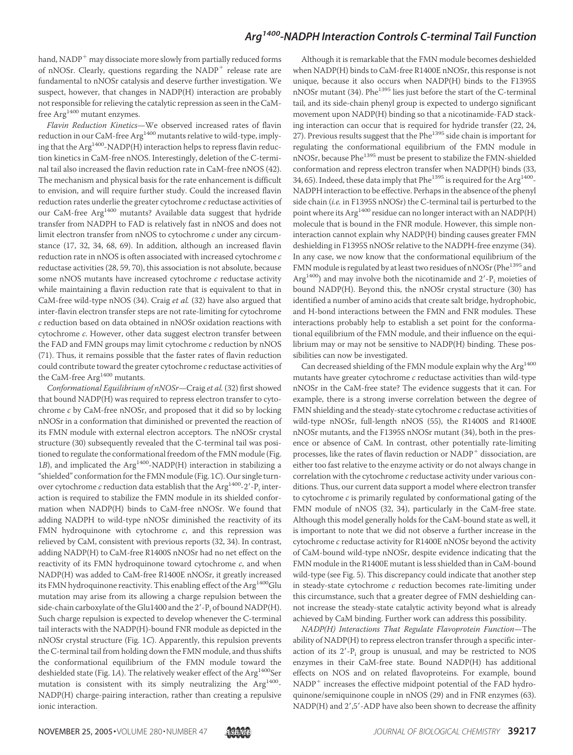hand,  $NADP<sup>+</sup>$  may dissociate more slowly from partially reduced forms of nNOSr. Clearly, questions regarding the NADP<sup>+</sup> release rate are fundamental to nNOSr catalysis and deserve further investigation. We suspect, however, that changes in NADP(H) interaction are probably not responsible for relieving the catalytic repression as seen in the CaMfree Arg<sup>1400</sup> mutant enzymes.

*Flavin Reduction Kinetics*—We observed increased rates of flavin reduction in our CaM-free Arg<sup>1400</sup> mutants relative to wild-type, implying that the  $Arg<sup>1400</sup> - NADP(H)$  interaction helps to repress flavin reduction kinetics in CaM-free nNOS. Interestingly, deletion of the C-terminal tail also increased the flavin reduction rate in CaM-free nNOS (42). The mechanism and physical basis for the rate enhancement is difficult to envision, and will require further study. Could the increased flavin reduction rates underlie the greater cytochrome *c* reductase activities of our CaM-free Arg<sup>1400</sup> mutants? Available data suggest that hydride transfer from NADPH to FAD is relatively fast in nNOS and does not limit electron transfer from nNOS to cytochrome *c* under any circumstance (17, 32, 34, 68, 69). In addition, although an increased flavin reduction rate in nNOS is often associated with increased cytochrome *c* reductase activities (28, 59, 70), this association is not absolute, because some nNOS mutants have increased cytochrome *c* reductase activity while maintaining a flavin reduction rate that is equivalent to that in CaM-free wild-type nNOS (34). Craig *et al.* (32) have also argued that inter-flavin electron transfer steps are not rate-limiting for cytochrome *c* reduction based on data obtained in nNOSr oxidation reactions with cytochrome *c*. However, other data suggest electron transfer between the FAD and FMN groups may limit cytochrome *c* reduction by nNOS (71). Thus, it remains possible that the faster rates of flavin reduction could contribute toward the greater cytochrome *c* reductase activities of the CaM-free Arg<sup>1400</sup> mutants.

*Conformational Equilibrium of nNOSr*—Craig *et al.* (32) first showed that bound NADP(H) was required to repress electron transfer to cytochrome *c* by CaM-free nNOSr, and proposed that it did so by locking nNOSr in a conformation that diminished or prevented the reaction of its FMN module with external electron acceptors. The nNOSr crystal structure (30) subsequently revealed that the C-terminal tail was positioned to regulate the conformational freedom of the FMN module (Fig. 1*B*), and implicated the Arg<sup>1400</sup>-NADP(H) interaction in stabilizing a "shielded" conformation for the FMN module (Fig. 1*C*). Our single turnover cytochrome  $c$  reduction data establish that the  $\mathrm{Arg}^{1400}$ -2'- $\mathrm{P_i}$  interaction is required to stabilize the FMN module in its shielded conformation when NADP(H) binds to CaM-free nNOSr. We found that adding NADPH to wild-type nNOSr diminished the reactivity of its FMN hydroquinone with cytochrome *c*, and this repression was relieved by CaM, consistent with previous reports (32, 34). In contrast, adding NADP(H) to CaM-free R1400S nNOSr had no net effect on the reactivity of its FMN hydroquinone toward cytochrome *c*, and when NADP(H) was added to CaM-free R1400E nNOSr, it greatly increased its FMN hydroquinone reactivity. This enabling effect of the Arg<sup>1400</sup>Glu mutation may arise from its allowing a charge repulsion between the side-chain carboxylate of the Glu1400 and the 2'-P<sub>i</sub> of bound NADP(H). Such charge repulsion is expected to develop whenever the C-terminal tail interacts with the NADP(H)-bound FNR module as depicted in the nNOSr crystal structure (Fig. 1*C*). Apparently, this repulsion prevents the C-terminal tail from holding down the FMN module, and thus shifts the conformational equilibrium of the FMN module toward the deshielded state (Fig. 1A). The relatively weaker effect of the Arg<sup>1400</sup>Ser mutation is consistent with its simply neutralizing the  $Arg<sup>1400</sup>$ -NADP(H) charge-pairing interaction, rather than creating a repulsive ionic interaction.

Although it is remarkable that the FMN module becomes deshielded when NADP(H) binds to CaM-free R1400E nNOSr, this response is not unique, because it also occurs when NADP(H) binds to the F1395S nNOSr mutant (34). Phe<sup>1395</sup> lies just before the start of the C-terminal tail, and its side-chain phenyl group is expected to undergo significant movement upon NADP(H) binding so that a nicotinamide-FAD stacking interaction can occur that is required for hydride transfer (22, 24, 27). Previous results suggest that the Phe<sup>1395</sup> side chain is important for regulating the conformational equilibrium of the FMN module in nNOSr, because Phe<sup>1395</sup> must be present to stabilize the FMN-shielded conformation and repress electron transfer when NADP(H) binds (33, 34, 65). Indeed, these data imply that Phe $^{1395}$  is required for the Arg $^{1400}$ -NADPH interaction to be effective. Perhaps in the absence of the phenyl side chain (*i.e.* in F1395S nNOSr) the C-terminal tail is perturbed to the point where its Arg<sup>1400</sup> residue can no longer interact with an NADP(H) molecule that is bound in the FNR module. However, this simple noninteraction cannot explain why NADP(H) binding causes greater FMN deshielding in F1395S nNOSr relative to the NADPH-free enzyme (34). In any case, we now know that the conformational equilibrium of the FMN module is regulated by at least two residues of nNOSr (Phe<sup>1395</sup> and Arg<sup>1400</sup>) and may involve both the nicotinamide and  $2'$ - $P_i$  moieties of bound NADP(H). Beyond this, the nNOSr crystal structure (30) has identified a number of amino acids that create salt bridge, hydrophobic, and H-bond interactions between the FMN and FNR modules. These interactions probably help to establish a set point for the conformational equilibrium of the FMN module, and their influence on the equilibrium may or may not be sensitive to NADP(H) binding. These possibilities can now be investigated.

Can decreased shielding of the FMN module explain why the Arg<sup>1400</sup> mutants have greater cytochrome *c* reductase activities than wild-type nNOSr in the CaM-free state? The evidence suggests that it can. For example, there is a strong inverse correlation between the degree of FMN shielding and the steady-state cytochrome *c* reductase activities of wild-type nNOSr, full-length nNOS (55), the R1400S and R1400E nNOSr mutants, and the F1395S nNOSr mutant (34), both in the presence or absence of CaM. In contrast, other potentially rate-limiting processes, like the rates of flavin reduction or NADP dissociation, are either too fast relative to the enzyme activity or do not always change in correlation with the cytochrome *c* reductase activity under various conditions. Thus, our current data support a model where electron transfer to cytochrome *c* is primarily regulated by conformational gating of the FMN module of nNOS (32, 34), particularly in the CaM-free state. Although this model generally holds for the CaM-bound state as well, it is important to note that we did not observe a further increase in the cytochrome *c* reductase activity for R1400E nNOSr beyond the activity of CaM-bound wild-type nNOSr, despite evidence indicating that the FMN module in the R1400E mutant is less shielded than in CaM-bound wild-type (see Fig. 5). This discrepancy could indicate that another step in steady-state cytochrome *c* reduction becomes rate-limiting under this circumstance, such that a greater degree of FMN deshielding cannot increase the steady-state catalytic activity beyond what is already achieved by CaM binding. Further work can address this possibility.

*NADP(H) Interactions That Regulate Flavoprotein Function*—The ability of NADP(H) to repress electron transfer through a specific interaction of its  $2'-P_i$  group is unusual, and may be restricted to NOS enzymes in their CaM-free state. Bound NADP(H) has additional effects on NOS and on related flavoproteins. For example, bound NADP increases the effective midpoint potential of the FAD hydroquinone/semiquinone couple in nNOS (29) and in FNR enzymes (63). NADP(H) and 2',5'-ADP have also been shown to decrease the affinity

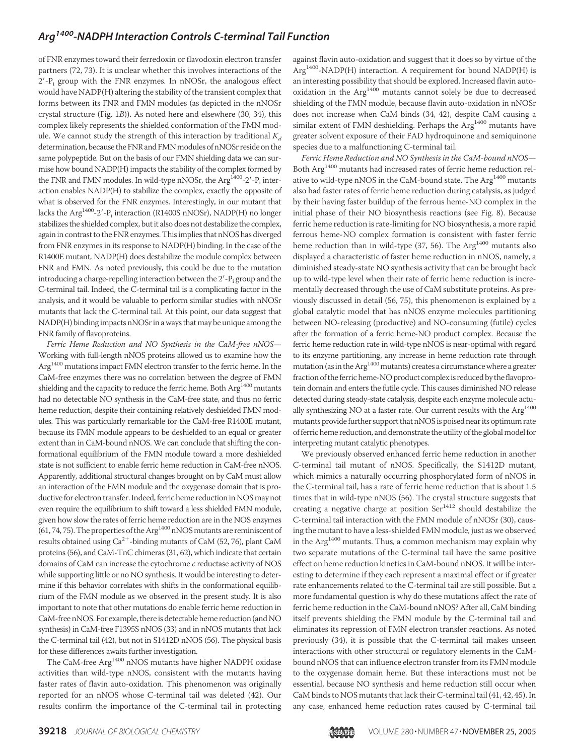of FNR enzymes toward their ferredoxin or flavodoxin electron transfer partners (72, 73). It is unclear whether this involves interactions of the 2'-P<sub>i</sub> group with the FNR enzymes. In nNOSr, the analogous effect would have NADP(H) altering the stability of the transient complex that forms between its FNR and FMN modules (as depicted in the nNOSr crystal structure (Fig. 1*B*)). As noted here and elsewhere (30, 34), this complex likely represents the shielded conformation of the FMN module. We cannot study the strength of this interaction by traditional  $K_d$ determination, because the FNR and FMN modules of nNOSr reside on the same polypeptide. But on the basis of our FMN shielding data we can surmise how bound NADP(H) impacts the stability of the complex formed by the FNR and FMN modules. In wild-type nNOSr, the  $\rm{Arg}^{\rm 1400}$ -2'- $\rm{P}_i$  interaction enables NADP(H) to stabilize the complex, exactly the opposite of what is observed for the FNR enzymes. Interestingly, in our mutant that lacks the Arg<sup>1400</sup>-2'-P<sub>i</sub> interaction (R1400S nNOSr), NADP(H) no longer stabilizes the shielded complex, but it also does not destabilize the complex, again in contrast to the FNR enzymes. This implies that nNOS has diverged from FNR enzymes in its response to NADP(H) binding. In the case of the R1400E mutant, NADP(H) does destabilize the module complex between FNR and FMN. As noted previously, this could be due to the mutation introducing a charge-repelling interaction between the  $2'$ - $P_i$  group and the C-terminal tail. Indeed, the C-terminal tail is a complicating factor in the analysis, and it would be valuable to perform similar studies with nNOSr mutants that lack the C-terminal tail. At this point, our data suggest that NADP(H) binding impacts nNOSr in a ways that may be unique among the FNR family of flavoproteins.

*Ferric Heme Reduction and NO Synthesis in the CaM-free nNOS*— Working with full-length nNOS proteins allowed us to examine how the Arg<sup>1400</sup> mutations impact FMN electron transfer to the ferric heme. In the CaM-free enzymes there was no correlation between the degree of FMN shielding and the capacity to reduce the ferric heme. Both Arg<sup>1400</sup> mutants had no detectable NO synthesis in the CaM-free state, and thus no ferric heme reduction, despite their containing relatively deshielded FMN modules. This was particularly remarkable for the CaM-free R1400E mutant, because its FMN module appears to be deshielded to an equal or greater extent than in CaM-bound nNOS. We can conclude that shifting the conformational equilibrium of the FMN module toward a more deshielded state is not sufficient to enable ferric heme reduction in CaM-free nNOS. Apparently, additional structural changes brought on by CaM must allow an interaction of the FMN module and the oxygenase domain that is productive for electron transfer. Indeed, ferric heme reduction in NOS may not even require the equilibrium to shift toward a less shielded FMN module, given how slow the rates of ferric heme reduction are in the NOS enzymes (61, 74, 75). The properties of the  $Arg<sup>1400</sup>$  nNOS mutants are reminiscent of results obtained using  $Ca^{2+}$ -binding mutants of CaM (52, 76), plant CaM proteins (56), and CaM-TnC chimeras (31, 62), which indicate that certain domains of CaM can increase the cytochrome *c* reductase activity of NOS while supporting little or no NO synthesis. It would be interesting to determine if this behavior correlates with shifts in the conformational equilibrium of the FMN module as we observed in the present study. It is also important to note that other mutations do enable ferric heme reduction in CaM-free nNOS. For example, there is detectable heme reduction (and NO synthesis) in CaM-free F1395S nNOS (33) and in nNOS mutants that lack the C-terminal tail (42), but not in S1412D nNOS (56). The physical basis for these differences awaits further investigation.

The CaM-free Arg<sup>1400</sup> nNOS mutants have higher NADPH oxidase activities than wild-type nNOS, consistent with the mutants having faster rates of flavin auto-oxidation. This phenomenon was originally reported for an nNOS whose C-terminal tail was deleted (42). Our results confirm the importance of the C-terminal tail in protecting against flavin auto-oxidation and suggest that it does so by virtue of the  $Arg<sup>1400</sup> - NADP(H)$  interaction. A requirement for bound NADP(H) is an interesting possibility that should be explored. Increased flavin autooxidation in the Arg<sup>1400</sup> mutants cannot solely be due to decreased shielding of the FMN module, because flavin auto-oxidation in nNOSr does not increase when CaM binds (34, 42), despite CaM causing a similar extent of FMN deshielding. Perhaps the  $Arg<sup>1400</sup>$  mutants have greater solvent exposure of their FAD hydroquinone and semiquinone species due to a malfunctioning C-terminal tail.

*Ferric Heme Reduction and NO Synthesis in the CaM-bound nNOS*— Both Arg<sup>1400</sup> mutants had increased rates of ferric heme reduction relative to wild-type nNOS in the CaM-bound state. The  $Arg<sup>1400</sup>$  mutants also had faster rates of ferric heme reduction during catalysis, as judged by their having faster buildup of the ferrous heme-NO complex in the initial phase of their NO biosynthesis reactions (see Fig. 8). Because ferric heme reduction is rate-limiting for NO biosynthesis, a more rapid ferrous heme-NO complex formation is consistent with faster ferric heme reduction than in wild-type (37, 56). The  $\mathrm{Arg}^{1400}$  mutants also displayed a characteristic of faster heme reduction in nNOS, namely, a diminished steady-state NO synthesis activity that can be brought back up to wild-type level when their rate of ferric heme reduction is incrementally decreased through the use of CaM substitute proteins. As previously discussed in detail (56, 75), this phenomenon is explained by a global catalytic model that has nNOS enzyme molecules partitioning between NO-releasing (productive) and NO-consuming (futile) cycles after the formation of a ferric heme-NO product complex. Because the ferric heme reduction rate in wild-type nNOS is near-optimal with regard to its enzyme partitioning, any increase in heme reduction rate through mutation (as in the  $Arg^{1400}$  mutants) creates a circumstance where a greater fraction of the ferric heme-NO product complex is reduced by the flavoprotein domain and enters the futile cycle. This causes diminished NO release detected during steady-state catalysis, despite each enzyme molecule actually synthesizing NO at a faster rate. Our current results with the  $Arg<sup>1400</sup>$ mutants provide further support that nNOS is poised near its optimum rate of ferric heme reduction, and demonstrate the utility of the global model for interpreting mutant catalytic phenotypes.

We previously observed enhanced ferric heme reduction in another C-terminal tail mutant of nNOS. Specifically, the S1412D mutant, which mimics a naturally occurring phosphorylated form of nNOS in the C-terminal tail, has a rate of ferric heme reduction that is about 1.5 times that in wild-type nNOS (56). The crystal structure suggests that creating a negative charge at position Ser<sup>1412</sup> should destabilize the C-terminal tail interaction with the FMN module of nNOSr (30), causing the mutant to have a less-shielded FMN module, just as we observed in the  $\text{Arg}^{1400}$  mutants. Thus, a common mechanism may explain why two separate mutations of the C-terminal tail have the same positive effect on heme reduction kinetics in CaM-bound nNOS. It will be interesting to determine if they each represent a maximal effect or if greater rate enhancements related to the C-terminal tail are still possible. But a more fundamental question is why do these mutations affect the rate of ferric heme reduction in the CaM-bound nNOS? After all, CaM binding itself prevents shielding the FMN module by the C-terminal tail and eliminates its repression of FMN electron transfer reactions. As noted previously (34), it is possible that the C-terminal tail makes unseen interactions with other structural or regulatory elements in the CaMbound nNOS that can influence electron transfer from its FMN module to the oxygenase domain heme. But these interactions must not be essential, because NO synthesis and heme reduction still occur when CaM binds to NOS mutants that lack their C-terminal tail (41, 42, 45). In any case, enhanced heme reduction rates caused by C-terminal tail